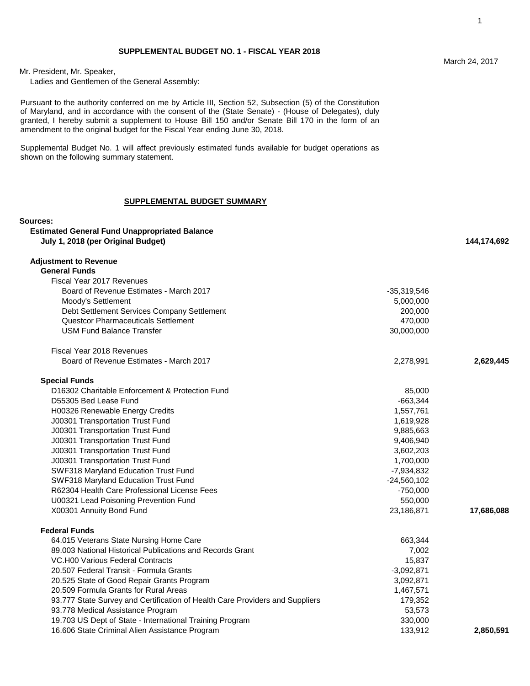Mr. President, Mr. Speaker,

Ladies and Gentlemen of the General Assembly:

Pursuant to the authority conferred on me by Article III, Section 52, Subsection (5) of the Constitution of Maryland, and in accordance with the consent of the (State Senate) - (House of Delegates), duly granted, I hereby submit a supplement to House Bill 150 and/or Senate Bill 170 in the form of an amendment to the original budget for the Fiscal Year ending June 30, 2018.

Supplemental Budget No. 1 will affect previously estimated funds available for budget operations as shown on the following summary statement.

### **SUPPLEMENTAL BUDGET SUMMARY**

## **Sources:**

| <b>Estimated General Fund Unappropriated Balance</b>                         |               |             |
|------------------------------------------------------------------------------|---------------|-------------|
| July 1, 2018 (per Original Budget)                                           |               | 144,174,692 |
| <b>Adjustment to Revenue</b>                                                 |               |             |
| <b>General Funds</b>                                                         |               |             |
| Fiscal Year 2017 Revenues                                                    |               |             |
| Board of Revenue Estimates - March 2017                                      | -35,319,546   |             |
| Moody's Settlement                                                           | 5,000,000     |             |
| Debt Settlement Services Company Settlement                                  | 200,000       |             |
| Questcor Pharmaceuticals Settlement                                          | 470,000       |             |
| <b>USM Fund Balance Transfer</b>                                             | 30,000,000    |             |
| Fiscal Year 2018 Revenues                                                    |               |             |
| Board of Revenue Estimates - March 2017                                      | 2,278,991     | 2,629,445   |
| <b>Special Funds</b>                                                         |               |             |
| D16302 Charitable Enforcement & Protection Fund                              | 85,000        |             |
| D55305 Bed Lease Fund                                                        | $-663,344$    |             |
| H00326 Renewable Energy Credits                                              | 1,557,761     |             |
| J00301 Transportation Trust Fund                                             | 1,619,928     |             |
| J00301 Transportation Trust Fund                                             | 9,885,663     |             |
| J00301 Transportation Trust Fund                                             | 9,406,940     |             |
| J00301 Transportation Trust Fund                                             | 3,602,203     |             |
| J00301 Transportation Trust Fund                                             | 1,700,000     |             |
| SWF318 Maryland Education Trust Fund                                         | -7,934,832    |             |
| SWF318 Maryland Education Trust Fund                                         | $-24,560,102$ |             |
| R62304 Health Care Professional License Fees                                 | $-750,000$    |             |
| U00321 Lead Poisoning Prevention Fund                                        | 550,000       |             |
| X00301 Annuity Bond Fund                                                     | 23,186,871    | 17,686,088  |
| <b>Federal Funds</b>                                                         |               |             |
| 64.015 Veterans State Nursing Home Care                                      | 663,344       |             |
| 89,003 National Historical Publications and Records Grant                    | 7,002         |             |
| VC.H00 Various Federal Contracts                                             | 15,837        |             |
| 20.507 Federal Transit - Formula Grants                                      | $-3,092,871$  |             |
| 20.525 State of Good Repair Grants Program                                   | 3,092,871     |             |
| 20.509 Formula Grants for Rural Areas                                        | 1,467,571     |             |
| 93.777 State Survey and Certification of Health Care Providers and Suppliers | 179,352       |             |
| 93.778 Medical Assistance Program                                            | 53,573        |             |
| 19.703 US Dept of State - International Training Program                     | 330,000       |             |
| 16.606 State Criminal Alien Assistance Program                               | 133.912       | 2.850.591   |

16.606 State Criminal Alien Assistance Program 133,912 **2,850,591**

1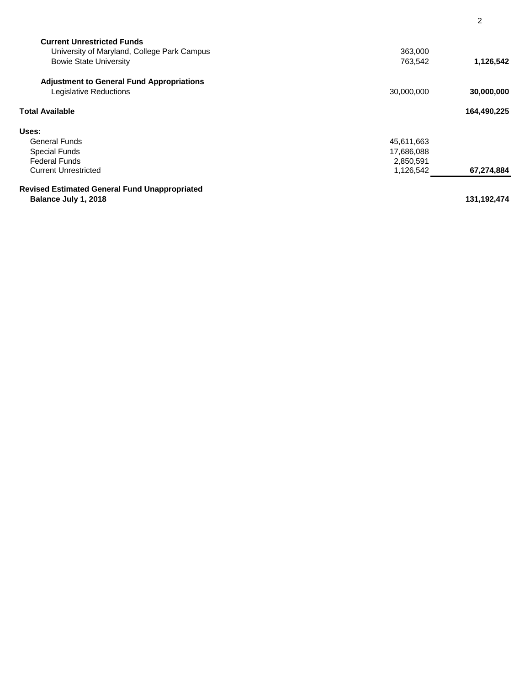| <b>Current Unrestricted Funds</b>                    |            |               |
|------------------------------------------------------|------------|---------------|
| University of Maryland, College Park Campus          | 363,000    |               |
| <b>Bowie State University</b>                        | 763,542    | 1,126,542     |
| <b>Adjustment to General Fund Appropriations</b>     |            |               |
| Legislative Reductions                               | 30,000,000 | 30,000,000    |
| Total Available                                      |            | 164,490,225   |
| Uses:                                                |            |               |
| <b>General Funds</b>                                 | 45,611,663 |               |
| <b>Special Funds</b>                                 | 17,686,088 |               |
| <b>Federal Funds</b>                                 | 2,850,591  |               |
| <b>Current Unrestricted</b>                          | 1,126,542  | 67,274,884    |
| <b>Revised Estimated General Fund Unappropriated</b> |            |               |
| Balance July 1, 2018                                 |            | 131, 192, 474 |

2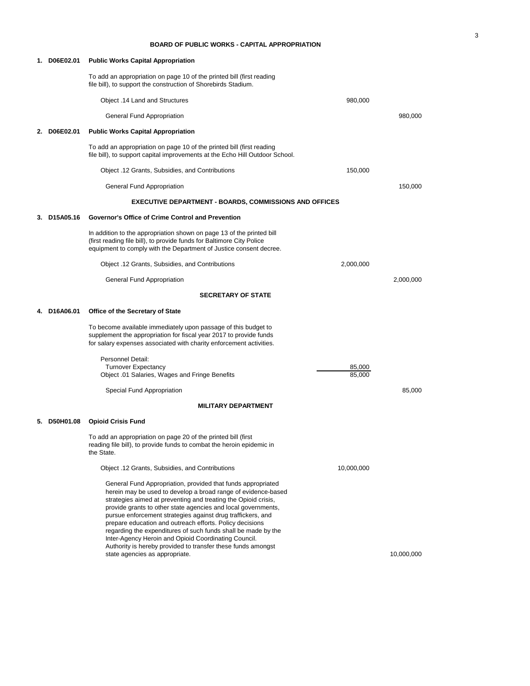### **BOARD OF PUBLIC WORKS - CAPITAL APPROPRIATION**

| 1. D06E02.01 | <b>Public Works Capital Appropriation</b>                                                                                                                                                                                                                                                                                                                                                                                                                                                                                                                                                                              |                  |            |
|--------------|------------------------------------------------------------------------------------------------------------------------------------------------------------------------------------------------------------------------------------------------------------------------------------------------------------------------------------------------------------------------------------------------------------------------------------------------------------------------------------------------------------------------------------------------------------------------------------------------------------------------|------------------|------------|
|              | To add an appropriation on page 10 of the printed bill (first reading<br>file bill), to support the construction of Shorebirds Stadium.                                                                                                                                                                                                                                                                                                                                                                                                                                                                                |                  |            |
|              | Object .14 Land and Structures                                                                                                                                                                                                                                                                                                                                                                                                                                                                                                                                                                                         | 980,000          |            |
|              | General Fund Appropriation                                                                                                                                                                                                                                                                                                                                                                                                                                                                                                                                                                                             |                  | 980,000    |
| 2. D06E02.01 | <b>Public Works Capital Appropriation</b>                                                                                                                                                                                                                                                                                                                                                                                                                                                                                                                                                                              |                  |            |
|              | To add an appropriation on page 10 of the printed bill (first reading<br>file bill), to support capital improvements at the Echo Hill Outdoor School.                                                                                                                                                                                                                                                                                                                                                                                                                                                                  |                  |            |
|              | Object .12 Grants, Subsidies, and Contributions                                                                                                                                                                                                                                                                                                                                                                                                                                                                                                                                                                        | 150,000          |            |
|              | General Fund Appropriation                                                                                                                                                                                                                                                                                                                                                                                                                                                                                                                                                                                             |                  | 150,000    |
|              | <b>EXECUTIVE DEPARTMENT - BOARDS, COMMISSIONS AND OFFICES</b>                                                                                                                                                                                                                                                                                                                                                                                                                                                                                                                                                          |                  |            |
| 3. D15A05.16 | Governor's Office of Crime Control and Prevention                                                                                                                                                                                                                                                                                                                                                                                                                                                                                                                                                                      |                  |            |
|              | In addition to the appropriation shown on page 13 of the printed bill<br>(first reading file bill), to provide funds for Baltimore City Police<br>equipment to comply with the Department of Justice consent decree.                                                                                                                                                                                                                                                                                                                                                                                                   |                  |            |
|              | Object .12 Grants, Subsidies, and Contributions                                                                                                                                                                                                                                                                                                                                                                                                                                                                                                                                                                        | 2,000,000        |            |
|              | General Fund Appropriation                                                                                                                                                                                                                                                                                                                                                                                                                                                                                                                                                                                             |                  | 2,000,000  |
|              | <b>SECRETARY OF STATE</b>                                                                                                                                                                                                                                                                                                                                                                                                                                                                                                                                                                                              |                  |            |
| D16A06.01    | <b>Office of the Secretary of State</b>                                                                                                                                                                                                                                                                                                                                                                                                                                                                                                                                                                                |                  |            |
|              | To become available immediately upon passage of this budget to<br>supplement the appropriation for fiscal year 2017 to provide funds<br>for salary expenses associated with charity enforcement activities.                                                                                                                                                                                                                                                                                                                                                                                                            |                  |            |
|              | Personnel Detail:                                                                                                                                                                                                                                                                                                                                                                                                                                                                                                                                                                                                      |                  |            |
|              | <b>Turnover Expectancy</b><br>Object .01 Salaries, Wages and Fringe Benefits                                                                                                                                                                                                                                                                                                                                                                                                                                                                                                                                           | 85,000<br>85,000 |            |
|              | Special Fund Appropriation                                                                                                                                                                                                                                                                                                                                                                                                                                                                                                                                                                                             |                  | 85,000     |
|              | <b>MILITARY DEPARTMENT</b>                                                                                                                                                                                                                                                                                                                                                                                                                                                                                                                                                                                             |                  |            |
| 5. D50H01.08 | <b>Opioid Crisis Fund</b>                                                                                                                                                                                                                                                                                                                                                                                                                                                                                                                                                                                              |                  |            |
|              | To add an appropriation on page 20 of the printed bill (first<br>reading file bill), to provide funds to combat the heroin epidemic in<br>the State.                                                                                                                                                                                                                                                                                                                                                                                                                                                                   |                  |            |
|              | Object .12 Grants, Subsidies, and Contributions                                                                                                                                                                                                                                                                                                                                                                                                                                                                                                                                                                        | 10,000,000       |            |
|              | General Fund Appropriation, provided that funds appropriated<br>herein may be used to develop a broad range of evidence-based<br>strategies aimed at preventing and treating the Opioid crisis,<br>provide grants to other state agencies and local governments,<br>pursue enforcement strategies against drug traffickers, and<br>prepare education and outreach efforts. Policy decisions<br>regarding the expenditures of such funds shall be made by the<br>Inter-Agency Heroin and Opioid Coordinating Council.<br>Authority is hereby provided to transfer these funds amongst<br>state agencies as appropriate. |                  | 10,000,000 |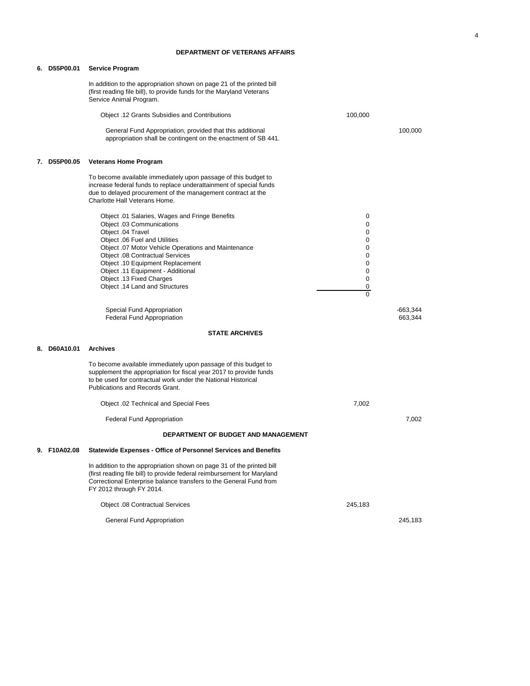### **DEPARTMENT OF VETERANS AFFAIRS**

|    | 6. D55P00.01 | <b>Service Program</b>                                                                                                                                                                                                                             |               |                       |
|----|--------------|----------------------------------------------------------------------------------------------------------------------------------------------------------------------------------------------------------------------------------------------------|---------------|-----------------------|
|    |              | In addition to the appropriation shown on page 21 of the printed bill<br>(first reading file bill), to provide funds for the Maryland Veterans<br>Service Animal Program.                                                                          |               |                       |
|    |              | Object .12 Grants Subsidies and Contributions                                                                                                                                                                                                      | 100,000       |                       |
|    |              | General Fund Appropriation, provided that this additional<br>appropriation shall be contingent on the enactment of SB 441.                                                                                                                         |               | 100,000               |
|    | 7. D55P00.05 | <b>Veterans Home Program</b>                                                                                                                                                                                                                       |               |                       |
|    |              | To become available immediately upon passage of this budget to<br>increase federal funds to replace underattainment of special funds<br>due to delayed procurement of the management contract at the<br>Charlotte Hall Veterans Home.              |               |                       |
|    |              | Object .01 Salaries, Wages and Fringe Benefits                                                                                                                                                                                                     | 0             |                       |
|    |              | Object 03 Communications<br>Object .04 Travel                                                                                                                                                                                                      | 0<br>0        |                       |
|    |              | Object .06 Fuel and Utilities                                                                                                                                                                                                                      | 0             |                       |
|    |              | Object .07 Motor Vehicle Operations and Maintenance                                                                                                                                                                                                | 0             |                       |
|    |              | <b>Object .08 Contractual Services</b><br>Object .10 Equipment Replacement                                                                                                                                                                         | 0<br>0        |                       |
|    |              | Object .11 Equipment - Additional                                                                                                                                                                                                                  | 0             |                       |
|    |              | Object .13 Fixed Charges                                                                                                                                                                                                                           | 0             |                       |
|    |              | Object .14 Land and Structures                                                                                                                                                                                                                     | 0<br>$\Omega$ |                       |
|    |              |                                                                                                                                                                                                                                                    |               |                       |
|    |              | Special Fund Appropriation<br><b>Federal Fund Appropriation</b>                                                                                                                                                                                    |               | $-663,344$<br>663,344 |
|    |              | <b>STATE ARCHIVES</b>                                                                                                                                                                                                                              |               |                       |
|    | 8. D60A10.01 | <b>Archives</b>                                                                                                                                                                                                                                    |               |                       |
|    |              | To become available immediately upon passage of this budget to<br>supplement the appropriation for fiscal year 2017 to provide funds<br>to be used for contractual work under the National Historical<br>Publications and Records Grant.           |               |                       |
|    |              | Object .02 Technical and Special Fees                                                                                                                                                                                                              | 7,002         |                       |
|    |              | <b>Federal Fund Appropriation</b>                                                                                                                                                                                                                  |               | 7,002                 |
|    |              | DEPARTMENT OF BUDGET AND MANAGEMENT                                                                                                                                                                                                                |               |                       |
| У. | F10A02.08    | <b>Statewide Expenses - Office of Personnel Services and Benefits</b>                                                                                                                                                                              |               |                       |
|    |              | In addition to the appropriation shown on page 31 of the printed bill<br>(first reading file bill) to provide federal reimbursement for Maryland<br>Correctional Enterprise balance transfers to the General Fund from<br>FY 2012 through FY 2014. |               |                       |
|    |              | <b>Object .08 Contractual Services</b>                                                                                                                                                                                                             | 245,183       |                       |
|    |              | General Fund Appropriation                                                                                                                                                                                                                         |               | 245,183               |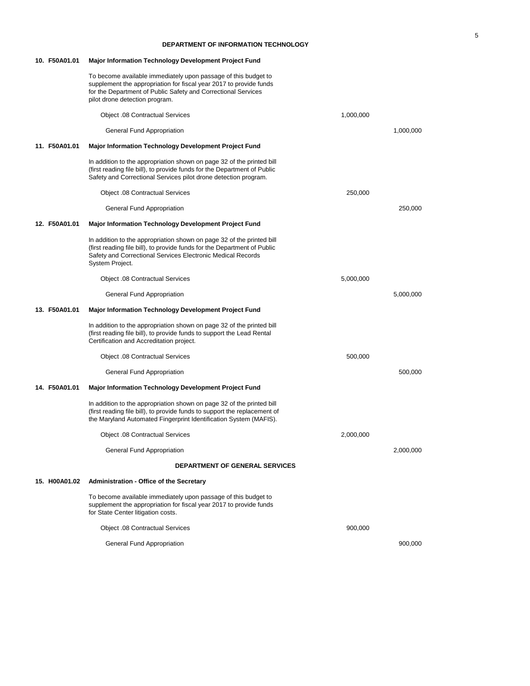### **DEPARTMENT OF INFORMATION TECHNOLOGY**

| 10. F50A01.01 | Major Information Technology Development Project Fund                                                                                                                                                                                   |           |           |
|---------------|-----------------------------------------------------------------------------------------------------------------------------------------------------------------------------------------------------------------------------------------|-----------|-----------|
|               | To become available immediately upon passage of this budget to<br>supplement the appropriation for fiscal year 2017 to provide funds<br>for the Department of Public Safety and Correctional Services<br>pilot drone detection program. |           |           |
|               | <b>Object .08 Contractual Services</b>                                                                                                                                                                                                  | 1,000,000 |           |
|               | General Fund Appropriation                                                                                                                                                                                                              |           | 1,000,000 |
| 11. F50A01.01 | <b>Major Information Technology Development Project Fund</b>                                                                                                                                                                            |           |           |
|               | In addition to the appropriation shown on page 32 of the printed bill<br>(first reading file bill), to provide funds for the Department of Public<br>Safety and Correctional Services pilot drone detection program.                    |           |           |
|               | Object .08 Contractual Services                                                                                                                                                                                                         | 250,000   |           |
|               | General Fund Appropriation                                                                                                                                                                                                              |           | 250,000   |
| 12. F50A01.01 | Major Information Technology Development Project Fund                                                                                                                                                                                   |           |           |
|               | In addition to the appropriation shown on page 32 of the printed bill<br>(first reading file bill), to provide funds for the Department of Public<br>Safety and Correctional Services Electronic Medical Records<br>System Project.     |           |           |
|               | <b>Object .08 Contractual Services</b>                                                                                                                                                                                                  | 5,000,000 |           |
|               | General Fund Appropriation                                                                                                                                                                                                              |           | 5,000,000 |
|               |                                                                                                                                                                                                                                         |           |           |
| 13. F50A01.01 | Major Information Technology Development Project Fund                                                                                                                                                                                   |           |           |
|               | In addition to the appropriation shown on page 32 of the printed bill<br>(first reading file bill), to provide funds to support the Lead Rental<br>Certification and Accreditation project.                                             |           |           |
|               | Object .08 Contractual Services                                                                                                                                                                                                         | 500,000   |           |
|               | General Fund Appropriation                                                                                                                                                                                                              |           | 500,000   |
| 14. F50A01.01 | Major Information Technology Development Project Fund                                                                                                                                                                                   |           |           |
|               | In addition to the appropriation shown on page 32 of the printed bill<br>(first reading file bill), to provide funds to support the replacement of<br>the Maryland Automated Fingerprint Identification System (MAFIS).                 |           |           |
|               | Object .08 Contractual Services                                                                                                                                                                                                         | 2,000,000 |           |
|               | General Fund Appropriation                                                                                                                                                                                                              |           | 2,000,000 |
|               | <b>DEPARTMENT OF GENERAL SERVICES</b>                                                                                                                                                                                                   |           |           |
| 15. H00A01.02 | <b>Administration - Office of the Secretary</b>                                                                                                                                                                                         |           |           |
|               | To become available immediately upon passage of this budget to<br>supplement the appropriation for fiscal year 2017 to provide funds<br>for State Center litigation costs.                                                              |           |           |
|               | <b>Object .08 Contractual Services</b>                                                                                                                                                                                                  | 900,000   |           |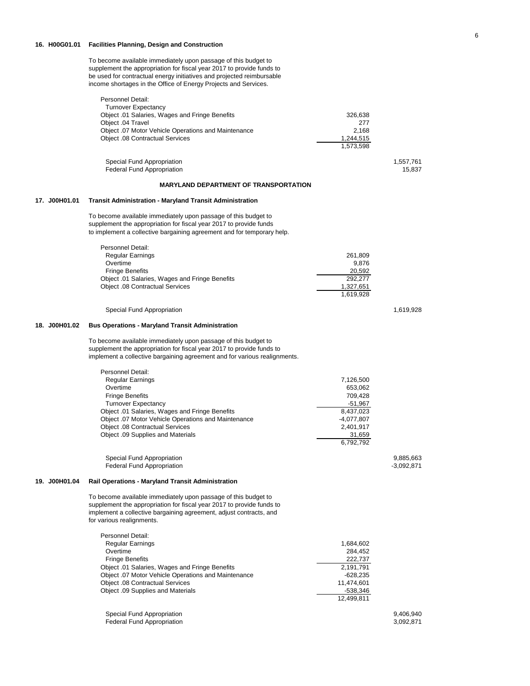### **16. H00G01.01 Facilities Planning, Design and Construction**

To become available immediately upon passage of this budget to supplement the appropriation for fiscal year 2017 to provide funds to be used for contractual energy initiatives and projected reimbursable income shortages in the Office of Energy Projects and Services.

|               | Personnel Detail:                                                                               |                        |                           |
|---------------|-------------------------------------------------------------------------------------------------|------------------------|---------------------------|
|               | <b>Turnover Expectancy</b>                                                                      |                        |                           |
|               | Object .01 Salaries, Wages and Fringe Benefits<br>Object .04 Travel                             | 326,638                |                           |
|               | Object .07 Motor Vehicle Operations and Maintenance                                             | 277<br>2,168           |                           |
|               | <b>Object .08 Contractual Services</b>                                                          | 1,244,515              |                           |
|               |                                                                                                 | 1,573,598              |                           |
|               |                                                                                                 |                        |                           |
|               | Special Fund Appropriation                                                                      |                        | 1,557,761                 |
|               | <b>Federal Fund Appropriation</b>                                                               |                        | 15,837                    |
|               | <b>MARYLAND DEPARTMENT OF TRANSPORTATION</b>                                                    |                        |                           |
|               |                                                                                                 |                        |                           |
| 17. J00H01.01 | Transit Administration - Maryland Transit Administration                                        |                        |                           |
|               | To become available immediately upon passage of this budget to                                  |                        |                           |
|               | supplement the appropriation for fiscal year 2017 to provide funds                              |                        |                           |
|               | to implement a collective bargaining agreement and for temporary help.                          |                        |                           |
|               |                                                                                                 |                        |                           |
|               | Personnel Detail:                                                                               |                        |                           |
|               | Regular Earnings                                                                                | 261,809                |                           |
|               | Overtime                                                                                        | 9,876                  |                           |
|               | <b>Fringe Benefits</b>                                                                          | 20,592                 |                           |
|               | Object .01 Salaries, Wages and Fringe Benefits                                                  | 292,277                |                           |
|               | <b>Object .08 Contractual Services</b>                                                          | 1,327,651<br>1,619,928 |                           |
|               |                                                                                                 |                        |                           |
|               | Special Fund Appropriation                                                                      |                        | 1,619,928                 |
|               |                                                                                                 |                        |                           |
| 18. J00H01.02 | <b>Bus Operations - Maryland Transit Administration</b>                                         |                        |                           |
|               | To become available immediately upon passage of this budget to                                  |                        |                           |
|               | supplement the appropriation for fiscal year 2017 to provide funds to                           |                        |                           |
|               | implement a collective bargaining agreement and for various realignments.                       |                        |                           |
|               |                                                                                                 |                        |                           |
|               | Personnel Detail:                                                                               |                        |                           |
|               | Regular Earnings                                                                                | 7,126,500              |                           |
|               | Overtime                                                                                        | 653,062                |                           |
|               | <b>Fringe Benefits</b>                                                                          | 709,428                |                           |
|               | <b>Turnover Expectancy</b>                                                                      | $-51,967$              |                           |
|               | Object .01 Salaries, Wages and Fringe Benefits                                                  | 8,437,023              |                           |
|               | Object .07 Motor Vehicle Operations and Maintenance                                             | $-4,077,807$           |                           |
|               | <b>Object .08 Contractual Services</b>                                                          | 2,401,917              |                           |
|               | Object .09 Supplies and Materials                                                               | 31,659                 |                           |
|               |                                                                                                 | 6,792,792              |                           |
|               |                                                                                                 |                        |                           |
|               | Special Fund Appropriation<br><b>Federal Fund Appropriation</b>                                 |                        | 9,885,663<br>$-3,092,871$ |
|               |                                                                                                 |                        |                           |
| 19. J00H01.04 | <b>Rail Operations - Maryland Transit Administration</b>                                        |                        |                           |
|               |                                                                                                 |                        |                           |
|               | To become available immediately upon passage of this budget to                                  |                        |                           |
|               | supplement the appropriation for fiscal year 2017 to provide funds to                           |                        |                           |
|               | implement a collective bargaining agreement, adjust contracts, and<br>for various realignments. |                        |                           |
|               |                                                                                                 |                        |                           |
|               | Personnel Detail:                                                                               |                        |                           |
|               | <b>Regular Earnings</b>                                                                         | 1,684,602              |                           |
|               | Overtime                                                                                        | 284,452                |                           |
|               | <b>Fringe Benefits</b>                                                                          | 222,737                |                           |
|               | Object .01 Salaries, Wages and Fringe Benefits                                                  | 2,191,791              |                           |
|               | Object .07 Motor Vehicle Operations and Maintenance                                             | $-628,235$             |                           |
|               | <b>Object .08 Contractual Services</b>                                                          | 11,474,601             |                           |
|               | Object .09 Supplies and Materials                                                               | -538,346               |                           |
|               |                                                                                                 | 12,499,811             |                           |
|               |                                                                                                 |                        |                           |
|               | Special Fund Appropriation                                                                      |                        | 9,406,940                 |
|               | Federal Fund Appropriation                                                                      |                        | 3,092,871                 |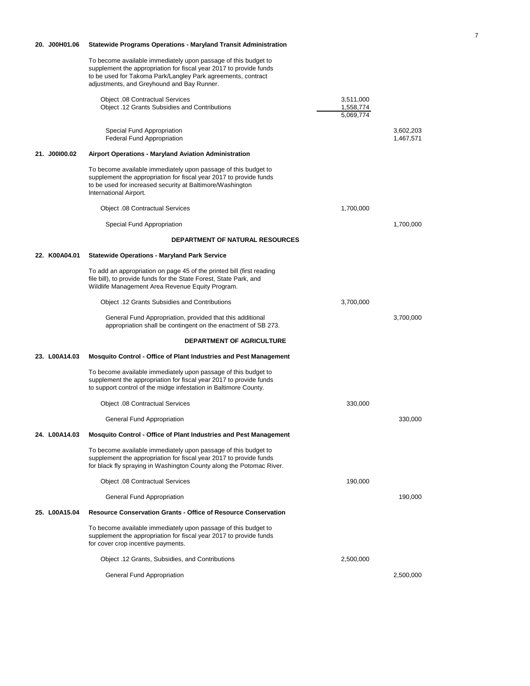|               | To become available immediately upon passage of this budget to<br>supplement the appropriation for fiscal year 2017 to provide funds<br>to be used for Takoma Park/Langley Park agreements, contract<br>adjustments, and Greyhound and Bay Runner. |                                     |                        |
|---------------|----------------------------------------------------------------------------------------------------------------------------------------------------------------------------------------------------------------------------------------------------|-------------------------------------|------------------------|
|               | <b>Object .08 Contractual Services</b><br>Object .12 Grants Subsidies and Contributions                                                                                                                                                            | 3,511,000<br>1,558,774<br>5,069,774 |                        |
|               | Special Fund Appropriation<br>Federal Fund Appropriation                                                                                                                                                                                           |                                     | 3,602,203<br>1,467,571 |
| 21. J00100.02 | Airport Operations - Maryland Aviation Administration                                                                                                                                                                                              |                                     |                        |
|               | To become available immediately upon passage of this budget to<br>supplement the appropriation for fiscal year 2017 to provide funds<br>to be used for increased security at Baltimore/Washington<br>International Airport.                        |                                     |                        |
|               | Object .08 Contractual Services                                                                                                                                                                                                                    | 1,700,000                           |                        |
|               | Special Fund Appropriation                                                                                                                                                                                                                         |                                     | 1,700,000              |
|               | <b>DEPARTMENT OF NATURAL RESOURCES</b>                                                                                                                                                                                                             |                                     |                        |
| 22. K00A04.01 | <b>Statewide Operations - Maryland Park Service</b>                                                                                                                                                                                                |                                     |                        |
|               | To add an appropriation on page 45 of the printed bill (first reading<br>file bill), to provide funds for the State Forest, State Park, and<br>Wildlife Management Area Revenue Equity Program.                                                    |                                     |                        |
|               | <b>Object .12 Grants Subsidies and Contributions</b>                                                                                                                                                                                               | 3,700,000                           |                        |
|               | General Fund Appropriation, provided that this additional<br>appropriation shall be contingent on the enactment of SB 273.                                                                                                                         |                                     | 3,700,000              |
|               | DEPARTMENT OF AGRICULTURE                                                                                                                                                                                                                          |                                     |                        |
| 23. L00A14.03 | <b>Mosquito Control - Office of Plant Industries and Pest Management</b>                                                                                                                                                                           |                                     |                        |
|               | To become available immediately upon passage of this budget to<br>supplement the appropriation for fiscal year 2017 to provide funds<br>to support control of the midge infestation in Baltimore County.                                           |                                     |                        |
|               | <b>Object .08 Contractual Services</b>                                                                                                                                                                                                             | 330,000                             |                        |
|               | General Fund Appropriation                                                                                                                                                                                                                         |                                     | 330,000                |
| 24. L00A14.03 | Mosquito Control - Office of Plant Industries and Pest Management                                                                                                                                                                                  |                                     |                        |
|               | To become available immediately upon passage of this budget to<br>supplement the appropriation for fiscal year 2017 to provide funds<br>for black fly spraying in Washington County along the Potomac River.                                       |                                     |                        |
|               | <b>Object .08 Contractual Services</b>                                                                                                                                                                                                             | 190,000                             |                        |
|               | General Fund Appropriation                                                                                                                                                                                                                         |                                     | 190,000                |
| 25. L00A15.04 | <b>Resource Conservation Grants - Office of Resource Conservation</b>                                                                                                                                                                              |                                     |                        |
|               | To become available immediately upon passage of this budget to<br>supplement the appropriation for fiscal year 2017 to provide funds<br>for cover crop incentive payments.                                                                         |                                     |                        |
|               | Object .12 Grants, Subsidies, and Contributions                                                                                                                                                                                                    | 2,500,000                           |                        |
|               | General Fund Appropriation                                                                                                                                                                                                                         |                                     | 2,500,000              |

**20. J00H01.06 Statewide Programs Operations - Maryland Transit Administration**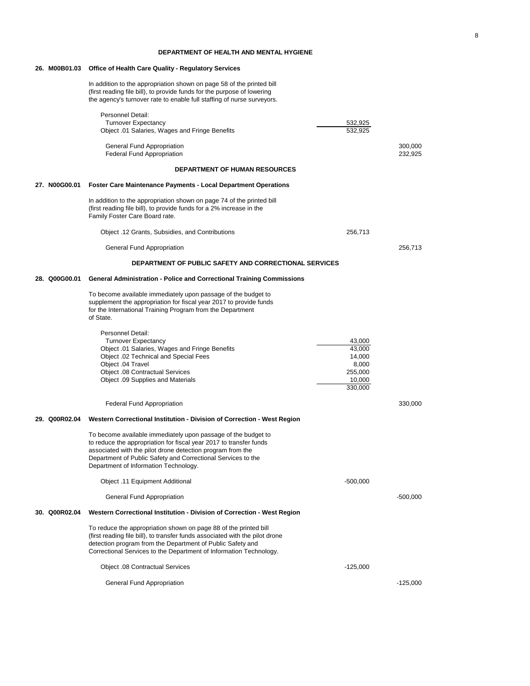### **DEPARTMENT OF HEALTH AND MENTAL HYGIENE**

### **26. M00B01.03 Office of Health Care Quality - Regulatory Services**

In addition to the appropriation shown on page 58 of the printed bill (first reading file bill), to provide funds for the purpose of lowering the agency's turnover rate to enable full staffing of nurse surveyors.

|               | Personnel Detail:<br><b>Turnover Expectancy</b><br>Object .01 Salaries, Wages and Fringe Benefits                                                                                                                                                                                                          | 532,925<br>532,925                                                  |                    |
|---------------|------------------------------------------------------------------------------------------------------------------------------------------------------------------------------------------------------------------------------------------------------------------------------------------------------------|---------------------------------------------------------------------|--------------------|
|               | General Fund Appropriation<br>Federal Fund Appropriation                                                                                                                                                                                                                                                   |                                                                     | 300,000<br>232,925 |
|               | <b>DEPARTMENT OF HUMAN RESOURCES</b>                                                                                                                                                                                                                                                                       |                                                                     |                    |
| 27. N00G00.01 | <b>Foster Care Maintenance Payments - Local Department Operations</b>                                                                                                                                                                                                                                      |                                                                     |                    |
|               | In addition to the appropriation shown on page 74 of the printed bill<br>(first reading file bill), to provide funds for a 2% increase in the<br>Family Foster Care Board rate.                                                                                                                            |                                                                     |                    |
|               | Object .12 Grants, Subsidies, and Contributions                                                                                                                                                                                                                                                            | 256,713                                                             |                    |
|               | General Fund Appropriation                                                                                                                                                                                                                                                                                 |                                                                     | 256,713            |
|               | DEPARTMENT OF PUBLIC SAFETY AND CORRECTIONAL SERVICES                                                                                                                                                                                                                                                      |                                                                     |                    |
| 28. Q00G00.01 | <b>General Administration - Police and Correctional Training Commissions</b>                                                                                                                                                                                                                               |                                                                     |                    |
|               | To become available immediately upon passage of the budget to<br>supplement the appropriation for fiscal year 2017 to provide funds<br>for the International Training Program from the Department<br>of State.                                                                                             |                                                                     |                    |
|               | Personnel Detail:<br><b>Turnover Expectancy</b><br>Object .01 Salaries, Wages and Fringe Benefits<br>Object .02 Technical and Special Fees<br>Object .04 Travel<br><b>Object .08 Contractual Services</b><br>Object .09 Supplies and Materials                                                             | 43,000<br>43,000<br>14,000<br>8,000<br>255,000<br>10,000<br>330,000 |                    |
|               | Federal Fund Appropriation                                                                                                                                                                                                                                                                                 |                                                                     | 330,000            |
| 29. Q00R02.04 | Western Correctional Institution - Division of Correction - West Region                                                                                                                                                                                                                                    |                                                                     |                    |
|               | To become available immediately upon passage of the budget to<br>to reduce the appropriation for fiscal year 2017 to transfer funds<br>associated with the pilot drone detection program from the<br>Department of Public Safety and Correctional Services to the<br>Department of Information Technology. |                                                                     |                    |
|               | Object .11 Equipment Additional                                                                                                                                                                                                                                                                            | $-500,000$                                                          |                    |
|               | General Fund Appropriation                                                                                                                                                                                                                                                                                 |                                                                     | $-500,000$         |
| 30. Q00R02.04 | Western Correctional Institution - Division of Correction - West Region                                                                                                                                                                                                                                    |                                                                     |                    |
|               | To reduce the appropriation shown on page 88 of the printed bill<br>(first reading file bill), to transfer funds associated with the pilot drone<br>detection program from the Department of Public Safety and<br>Correctional Services to the Department of Information Technology.                       |                                                                     |                    |
|               | Object .08 Contractual Services                                                                                                                                                                                                                                                                            | $-125,000$                                                          |                    |
|               | General Fund Appropriation                                                                                                                                                                                                                                                                                 |                                                                     | $-125,000$         |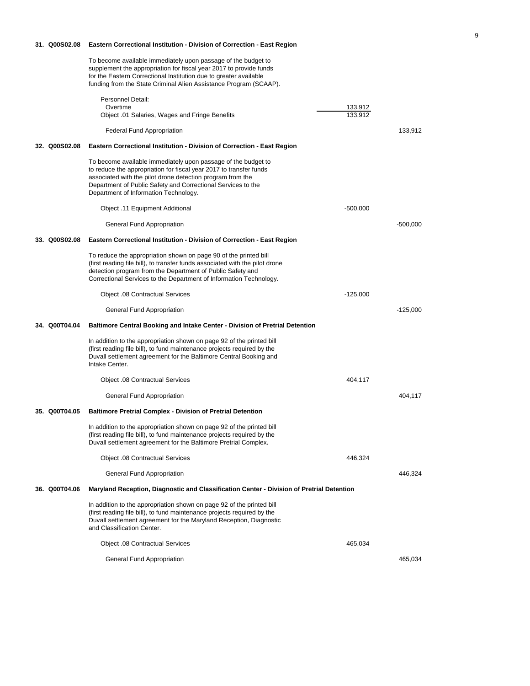### **31. Q00S02.08 Eastern Correctional Institution - Division of Correction - East Region**

To become available immediately upon passage of the budget to supplement the appropriation for fiscal year 2017 to provide funds for the Eastern Correctional Institution due to greater available funding from the State Criminal Alien Assistance Program (SCAAP).

|               | Personnel Detail:                                                                                                                                                                                                                                                                                          |                    |            |
|---------------|------------------------------------------------------------------------------------------------------------------------------------------------------------------------------------------------------------------------------------------------------------------------------------------------------------|--------------------|------------|
|               | Overtime<br>Object .01 Salaries, Wages and Fringe Benefits                                                                                                                                                                                                                                                 | 133,912<br>133.912 |            |
|               |                                                                                                                                                                                                                                                                                                            |                    |            |
|               | Federal Fund Appropriation                                                                                                                                                                                                                                                                                 |                    | 133,912    |
| 32. Q00S02.08 | Eastern Correctional Institution - Division of Correction - East Region                                                                                                                                                                                                                                    |                    |            |
|               | To become available immediately upon passage of the budget to<br>to reduce the appropriation for fiscal year 2017 to transfer funds<br>associated with the pilot drone detection program from the<br>Department of Public Safety and Correctional Services to the<br>Department of Information Technology. |                    |            |
|               | Object .11 Equipment Additional                                                                                                                                                                                                                                                                            | $-500,000$         |            |
|               | General Fund Appropriation                                                                                                                                                                                                                                                                                 |                    | -500,000   |
| 33. Q00S02.08 | Eastern Correctional Institution - Division of Correction - East Region                                                                                                                                                                                                                                    |                    |            |
|               | To reduce the appropriation shown on page 90 of the printed bill<br>(first reading file bill), to transfer funds associated with the pilot drone<br>detection program from the Department of Public Safety and<br>Correctional Services to the Department of Information Technology.                       |                    |            |
|               | Object .08 Contractual Services                                                                                                                                                                                                                                                                            | $-125,000$         |            |
|               | General Fund Appropriation                                                                                                                                                                                                                                                                                 |                    | $-125,000$ |
| 34. Q00T04.04 | Baltimore Central Booking and Intake Center - Division of Pretrial Detention                                                                                                                                                                                                                               |                    |            |
|               | In addition to the appropriation shown on page 92 of the printed bill<br>(first reading file bill), to fund maintenance projects required by the<br>Duvall settlement agreement for the Baltimore Central Booking and<br>Intake Center.                                                                    |                    |            |
|               | Object .08 Contractual Services                                                                                                                                                                                                                                                                            | 404,117            |            |
|               | General Fund Appropriation                                                                                                                                                                                                                                                                                 |                    | 404,117    |
| 35. Q00T04.05 | <b>Baltimore Pretrial Complex - Division of Pretrial Detention</b>                                                                                                                                                                                                                                         |                    |            |
|               | In addition to the appropriation shown on page 92 of the printed bill<br>(first reading file bill), to fund maintenance projects required by the<br>Duvall settlement agreement for the Baltimore Pretrial Complex.                                                                                        |                    |            |
|               | Object .08 Contractual Services                                                                                                                                                                                                                                                                            | 446,324            |            |
|               | General Fund Appropriation                                                                                                                                                                                                                                                                                 |                    | 446,324    |
| 36. Q00T04.06 | Maryland Reception, Diagnostic and Classification Center - Division of Pretrial Detention                                                                                                                                                                                                                  |                    |            |
|               | In addition to the appropriation shown on page 92 of the printed bill<br>(first reading file bill), to fund maintenance projects required by the<br>Duvall settlement agreement for the Maryland Reception, Diagnostic<br>and Classification Center.                                                       |                    |            |
|               | <b>Object .08 Contractual Services</b>                                                                                                                                                                                                                                                                     | 465,034            |            |
|               | General Fund Appropriation                                                                                                                                                                                                                                                                                 |                    | 465,034    |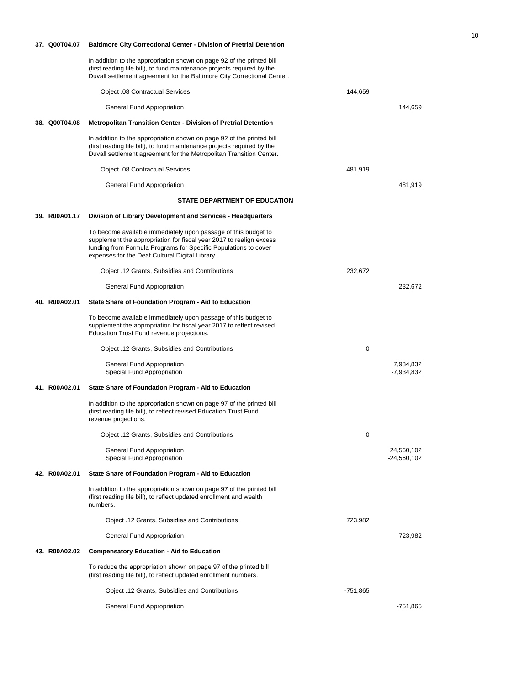| 37. Q00T04.07 | <b>Baltimore City Correctional Center - Division of Pretrial Detention</b>                                                                                                                                                                                  |            |                             |
|---------------|-------------------------------------------------------------------------------------------------------------------------------------------------------------------------------------------------------------------------------------------------------------|------------|-----------------------------|
|               | In addition to the appropriation shown on page 92 of the printed bill<br>(first reading file bill), to fund maintenance projects required by the<br>Duvall settlement agreement for the Baltimore City Correctional Center.                                 |            |                             |
|               | <b>Object .08 Contractual Services</b>                                                                                                                                                                                                                      | 144,659    |                             |
|               | General Fund Appropriation                                                                                                                                                                                                                                  |            | 144,659                     |
| 38. Q00T04.08 | <b>Metropolitan Transition Center - Division of Pretrial Detention</b>                                                                                                                                                                                      |            |                             |
|               | In addition to the appropriation shown on page 92 of the printed bill<br>(first reading file bill), to fund maintenance projects required by the<br>Duvall settlement agreement for the Metropolitan Transition Center.                                     |            |                             |
|               | Object .08 Contractual Services                                                                                                                                                                                                                             | 481,919    |                             |
|               | General Fund Appropriation                                                                                                                                                                                                                                  |            | 481,919                     |
|               | <b>STATE DEPARTMENT OF EDUCATION</b>                                                                                                                                                                                                                        |            |                             |
| 39. R00A01.17 | Division of Library Development and Services - Headquarters                                                                                                                                                                                                 |            |                             |
|               | To become available immediately upon passage of this budget to<br>supplement the appropriation for fiscal year 2017 to realign excess<br>funding from Formula Programs for Specific Populations to cover<br>expenses for the Deaf Cultural Digital Library. |            |                             |
|               | Object .12 Grants, Subsidies and Contributions                                                                                                                                                                                                              | 232,672    |                             |
|               | General Fund Appropriation                                                                                                                                                                                                                                  |            | 232,672                     |
| 40. R00A02.01 | State Share of Foundation Program - Aid to Education                                                                                                                                                                                                        |            |                             |
|               | To become available immediately upon passage of this budget to<br>supplement the appropriation for fiscal year 2017 to reflect revised<br>Education Trust Fund revenue projections.                                                                         |            |                             |
|               | Object .12 Grants, Subsidies and Contributions                                                                                                                                                                                                              | 0          |                             |
|               | General Fund Appropriation<br>Special Fund Appropriation                                                                                                                                                                                                    |            | 7,934,832<br>-7,934,832     |
| 41. R00A02.01 | State Share of Foundation Program - Aid to Education                                                                                                                                                                                                        |            |                             |
|               | In addition to the appropriation shown on page 97 of the printed bill<br>(first reading file bill), to reflect revised Education Trust Fund<br>revenue projections.                                                                                         |            |                             |
|               | Object .12 Grants, Subsidies and Contributions                                                                                                                                                                                                              | 0          |                             |
|               | General Fund Appropriation<br>Special Fund Appropriation                                                                                                                                                                                                    |            | 24,560,102<br>$-24,560,102$ |
| 42. R00A02.01 | State Share of Foundation Program - Aid to Education                                                                                                                                                                                                        |            |                             |
|               | In addition to the appropriation shown on page 97 of the printed bill<br>(first reading file bill), to reflect updated enrollment and wealth<br>numbers.                                                                                                    |            |                             |
|               | Object .12 Grants, Subsidies and Contributions                                                                                                                                                                                                              | 723,982    |                             |
|               | General Fund Appropriation                                                                                                                                                                                                                                  |            | 723,982                     |
| 43. R00A02.02 | <b>Compensatory Education - Aid to Education</b>                                                                                                                                                                                                            |            |                             |
|               | To reduce the appropriation shown on page 97 of the printed bill<br>(first reading file bill), to reflect updated enrollment numbers.                                                                                                                       |            |                             |
|               | Object .12 Grants, Subsidies and Contributions                                                                                                                                                                                                              | $-751,865$ |                             |
|               | General Fund Appropriation                                                                                                                                                                                                                                  |            | $-751,865$                  |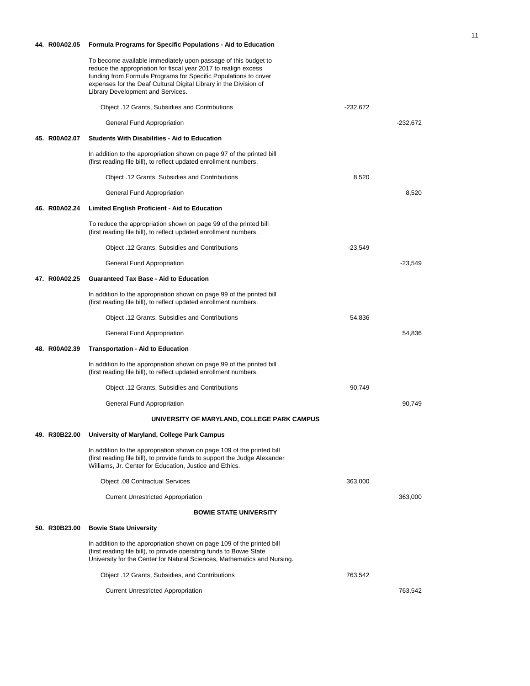| 44. R00A02.05 | Formula Programs for Specific Populations - Aid to Education                                                                                                                                                                                                                                                   |            |            |
|---------------|----------------------------------------------------------------------------------------------------------------------------------------------------------------------------------------------------------------------------------------------------------------------------------------------------------------|------------|------------|
|               | To become available immediately upon passage of this budget to<br>reduce the appropriation for fiscal year 2017 to realign excess<br>funding from Formula Programs for Specific Populations to cover<br>expenses for the Deaf Cultural Digital Library in the Division of<br>Library Development and Services. |            |            |
|               | Object .12 Grants, Subsidies and Contributions                                                                                                                                                                                                                                                                 | $-232,672$ |            |
|               | General Fund Appropriation                                                                                                                                                                                                                                                                                     |            | $-232,672$ |
| 45. R00A02.07 | <b>Students With Disabilities - Aid to Education</b>                                                                                                                                                                                                                                                           |            |            |
|               | In addition to the appropriation shown on page 97 of the printed bill<br>(first reading file bill), to reflect updated enrollment numbers.                                                                                                                                                                     |            |            |
|               | Object .12 Grants, Subsidies and Contributions                                                                                                                                                                                                                                                                 | 8,520      |            |
|               | General Fund Appropriation                                                                                                                                                                                                                                                                                     |            | 8,520      |
| 46. R00A02.24 | <b>Limited English Proficient - Aid to Education</b>                                                                                                                                                                                                                                                           |            |            |
|               | To reduce the appropriation shown on page 99 of the printed bill<br>(first reading file bill), to reflect updated enrollment numbers.                                                                                                                                                                          |            |            |
|               | Object .12 Grants, Subsidies and Contributions                                                                                                                                                                                                                                                                 | -23,549    |            |
|               | General Fund Appropriation                                                                                                                                                                                                                                                                                     |            | $-23,549$  |
| 47. R00A02.25 | <b>Guaranteed Tax Base - Aid to Education</b>                                                                                                                                                                                                                                                                  |            |            |
|               | In addition to the appropriation shown on page 99 of the printed bill<br>(first reading file bill), to reflect updated enrollment numbers.                                                                                                                                                                     |            |            |
|               | Object .12 Grants, Subsidies and Contributions                                                                                                                                                                                                                                                                 | 54,836     |            |
|               | General Fund Appropriation                                                                                                                                                                                                                                                                                     |            | 54,836     |
| 48. R00A02.39 | <b>Transportation - Aid to Education</b>                                                                                                                                                                                                                                                                       |            |            |
|               | In addition to the appropriation shown on page 99 of the printed bill<br>(first reading file bill), to reflect updated enrollment numbers.                                                                                                                                                                     |            |            |
|               | Object .12 Grants, Subsidies and Contributions                                                                                                                                                                                                                                                                 | 90,749     |            |
|               | General Fund Appropriation                                                                                                                                                                                                                                                                                     |            | 90,749     |
|               | UNIVERSITY OF MARYLAND, COLLEGE PARK CAMPUS                                                                                                                                                                                                                                                                    |            |            |
| 49. R30B22.00 | University of Maryland, College Park Campus                                                                                                                                                                                                                                                                    |            |            |
|               | In addition to the appropriation shown on page 109 of the printed bill<br>(first reading file bill), to provide funds to support the Judge Alexander<br>Williams, Jr. Center for Education, Justice and Ethics.                                                                                                |            |            |
|               | <b>Object .08 Contractual Services</b>                                                                                                                                                                                                                                                                         | 363,000    |            |
|               | <b>Current Unrestricted Appropriation</b>                                                                                                                                                                                                                                                                      |            | 363,000    |
|               | <b>BOWIE STATE UNIVERSITY</b>                                                                                                                                                                                                                                                                                  |            |            |
| 50. R30B23.00 | <b>Bowie State University</b>                                                                                                                                                                                                                                                                                  |            |            |
|               | In addition to the appropriation shown on page 109 of the printed bill<br>(first reading file bill), to provide operating funds to Bowie State<br>University for the Center for Natural Sciences, Mathematics and Nursing.                                                                                     |            |            |
|               | Object .12 Grants, Subsidies, and Contributions                                                                                                                                                                                                                                                                | 763,542    |            |
|               | <b>Current Unrestricted Appropriation</b>                                                                                                                                                                                                                                                                      |            | 763,542    |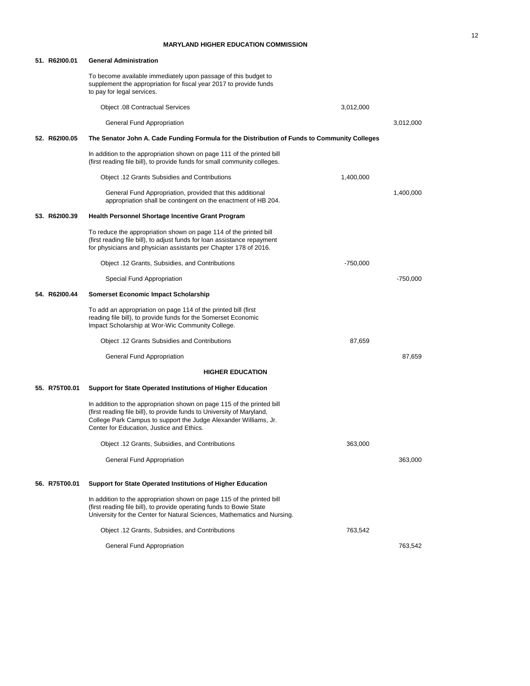### **MARYLAND HIGHER EDUCATION COMMISSION**

| 51. R62I00.01 | <b>General Administration</b>                                                                                                                                                                                                                                     |            |            |
|---------------|-------------------------------------------------------------------------------------------------------------------------------------------------------------------------------------------------------------------------------------------------------------------|------------|------------|
|               | To become available immediately upon passage of this budget to<br>supplement the appropriation for fiscal year 2017 to provide funds<br>to pay for legal services.                                                                                                |            |            |
|               | Object .08 Contractual Services                                                                                                                                                                                                                                   | 3,012,000  |            |
|               | General Fund Appropriation                                                                                                                                                                                                                                        |            | 3,012,000  |
| 52. R62100.05 | The Senator John A. Cade Funding Formula for the Distribution of Funds to Community Colleges                                                                                                                                                                      |            |            |
|               | In addition to the appropriation shown on page 111 of the printed bill<br>(first reading file bill), to provide funds for small community colleges.                                                                                                               |            |            |
|               | Object .12 Grants Subsidies and Contributions                                                                                                                                                                                                                     | 1,400,000  |            |
|               | General Fund Appropriation, provided that this additional<br>appropriation shall be contingent on the enactment of HB 204.                                                                                                                                        |            | 1,400,000  |
| 53. R62100.39 | Health Personnel Shortage Incentive Grant Program                                                                                                                                                                                                                 |            |            |
|               | To reduce the appropriation shown on page 114 of the printed bill<br>(first reading file bill), to adjust funds for loan assistance repayment<br>for physicians and physician assistants per Chapter 178 of 2016.                                                 |            |            |
|               | Object .12 Grants, Subsidies, and Contributions                                                                                                                                                                                                                   | $-750,000$ |            |
|               | Special Fund Appropriation                                                                                                                                                                                                                                        |            | $-750,000$ |
| 54. R62100.44 | Somerset Economic Impact Scholarship                                                                                                                                                                                                                              |            |            |
|               | To add an appropriation on page 114 of the printed bill (first<br>reading file bill), to provide funds for the Somerset Economic<br>Impact Scholarship at Wor-Wic Community College.                                                                              |            |            |
|               | Object .12 Grants Subsidies and Contributions                                                                                                                                                                                                                     | 87,659     |            |
|               | General Fund Appropriation                                                                                                                                                                                                                                        |            | 87,659     |
|               | <b>HIGHER EDUCATION</b>                                                                                                                                                                                                                                           |            |            |
| 55. R75T00.01 | Support for State Operated Institutions of Higher Education                                                                                                                                                                                                       |            |            |
|               | In addition to the appropriation shown on page 115 of the printed bill<br>(first reading file bill), to provide funds to University of Maryland,<br>College Park Campus to support the Judge Alexander Williams, Jr.<br>Center for Education, Justice and Ethics. |            |            |
|               | Object .12 Grants, Subsidies, and Contributions                                                                                                                                                                                                                   | 363,000    |            |
|               | General Fund Appropriation                                                                                                                                                                                                                                        |            | 363,000    |
| 56. R75T00.01 | Support for State Operated Institutions of Higher Education                                                                                                                                                                                                       |            |            |
|               | In addition to the appropriation shown on page 115 of the printed bill<br>(first reading file bill), to provide operating funds to Bowie State<br>University for the Center for Natural Sciences, Mathematics and Nursing.                                        |            |            |
|               | Object .12 Grants, Subsidies, and Contributions                                                                                                                                                                                                                   | 763,542    |            |
|               | General Fund Appropriation                                                                                                                                                                                                                                        |            | 763,542    |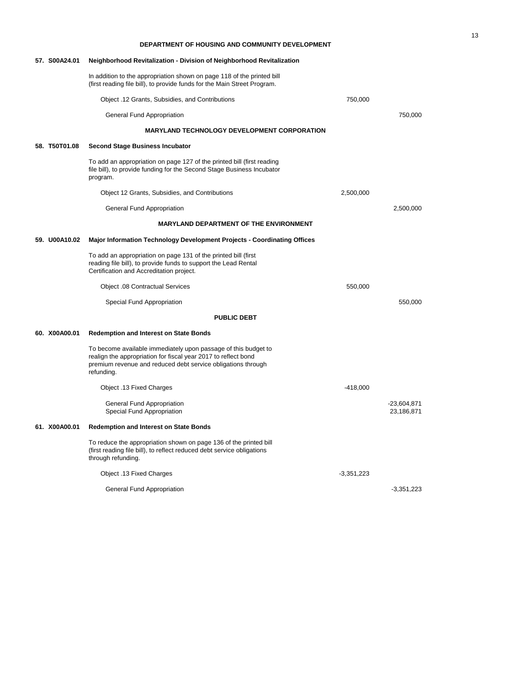|                    | 57. S00A24.01 | Neighborhood Revitalization - Division of Neighborhood Revitalization                                                                                                                                          |              |                             |  |  |  |  |
|--------------------|---------------|----------------------------------------------------------------------------------------------------------------------------------------------------------------------------------------------------------------|--------------|-----------------------------|--|--|--|--|
|                    |               | In addition to the appropriation shown on page 118 of the printed bill<br>(first reading file bill), to provide funds for the Main Street Program.                                                             |              |                             |  |  |  |  |
|                    |               | Object .12 Grants, Subsidies, and Contributions                                                                                                                                                                | 750,000      |                             |  |  |  |  |
|                    |               | General Fund Appropriation                                                                                                                                                                                     |              | 750,000                     |  |  |  |  |
|                    |               | <b>MARYLAND TECHNOLOGY DEVELOPMENT CORPORATION</b>                                                                                                                                                             |              |                             |  |  |  |  |
|                    | 58. T50T01.08 | <b>Second Stage Business Incubator</b>                                                                                                                                                                         |              |                             |  |  |  |  |
|                    |               | To add an appropriation on page 127 of the printed bill (first reading<br>file bill), to provide funding for the Second Stage Business Incubator<br>program.                                                   |              |                             |  |  |  |  |
|                    |               | Object 12 Grants, Subsidies, and Contributions                                                                                                                                                                 | 2,500,000    |                             |  |  |  |  |
|                    |               | General Fund Appropriation                                                                                                                                                                                     |              | 2,500,000                   |  |  |  |  |
|                    |               | <b>MARYLAND DEPARTMENT OF THE ENVIRONMENT</b>                                                                                                                                                                  |              |                             |  |  |  |  |
|                    | 59. U00A10.02 | Major Information Technology Development Projects - Coordinating Offices                                                                                                                                       |              |                             |  |  |  |  |
|                    |               | To add an appropriation on page 131 of the printed bill (first<br>reading file bill), to provide funds to support the Lead Rental<br>Certification and Accreditation project.                                  |              |                             |  |  |  |  |
|                    |               | <b>Object .08 Contractual Services</b>                                                                                                                                                                         | 550,000      |                             |  |  |  |  |
|                    |               | Special Fund Appropriation                                                                                                                                                                                     |              | 550,000                     |  |  |  |  |
| <b>PUBLIC DEBT</b> |               |                                                                                                                                                                                                                |              |                             |  |  |  |  |
|                    | 60. X00A00.01 | <b>Redemption and Interest on State Bonds</b>                                                                                                                                                                  |              |                             |  |  |  |  |
|                    |               | To become available immediately upon passage of this budget to<br>realign the appropriation for fiscal year 2017 to reflect bond<br>premium revenue and reduced debt service obligations through<br>refunding. |              |                             |  |  |  |  |
|                    |               | Object .13 Fixed Charges                                                                                                                                                                                       | $-418,000$   |                             |  |  |  |  |
|                    |               | General Fund Appropriation<br>Special Fund Appropriation                                                                                                                                                       |              | $-23,604,871$<br>23,186,871 |  |  |  |  |
|                    | 61. X00A00.01 | <b>Redemption and Interest on State Bonds</b>                                                                                                                                                                  |              |                             |  |  |  |  |
|                    |               | To reduce the appropriation shown on page 136 of the printed bill<br>(first reading file bill), to reflect reduced debt service obligations<br>through refunding.                                              |              |                             |  |  |  |  |
|                    |               | Object .13 Fixed Charges                                                                                                                                                                                       | $-3,351,223$ |                             |  |  |  |  |
|                    |               | General Fund Appropriation                                                                                                                                                                                     |              | $-3,351,223$                |  |  |  |  |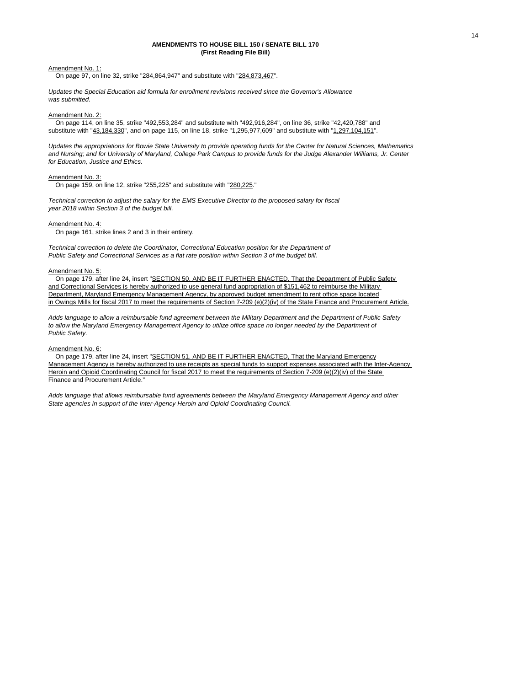#### **(First Reading File Bill) AMENDMENTS TO HOUSE BILL 150 / SENATE BILL 170**

#### Amendment No. 1:

On page 97, on line 32, strike "284,864,947" and substitute with "284,873,467".

*Updates the Special Education aid formula for enrollment revisions received since the Governor's Allowance was submitted.*

#### Amendment No. 2:

 On page 114, on line 35, strike "492,553,284" and substitute with "492,916,284", on line 36, strike "42,420,788" and substitute with "43,184,330", and on page 115, on line 18, strike "1,295,977,609" and substitute with "1,297,104,151".

*Updates the appropriations for Bowie State University to provide operating funds for the Center for Natural Sciences, Mathematics and Nursing; and for University of Maryland, College Park Campus to provide funds for the Judge Alexander Williams, Jr. Center for Education, Justice and Ethics.*

#### Amendment No. 3:

On page 159, on line 12, strike "255,225" and substitute with "280,225."

*Technical correction to adjust the salary for the EMS Executive Director to the proposed salary for fiscal year 2018 within Section 3 of the budget bill.*

### Amendment No. 4:

On page 161, strike lines 2 and 3 in their entirety.

*Technical correction to delete the Coordinator, Correctional Education position for the Department of Public Safety and Correctional Services as a flat rate position within Section 3 of the budget bill.*

#### Amendment No. 5:

On page 179, after line 24, insert "SECTION 50. AND BE IT FURTHER ENACTED, That the Department of Public Safety and Correctional Services is hereby authorized to use general fund appropriation of \$151,462 to reimburse the Military Department, Maryland Emergency Management Agency, by approved budget amendment to rent office space located in Owings Mills for fiscal 2017 to meet the requirements of Section 7-209 (e)(2)(iv) of the State Finance and Procurement Article.

*Adds language to allow a reimbursable fund agreement between the Military Department and the Department of Public Safety*  to allow the Maryland Emergency Management Agency to utilize office space no longer needed by the Department of *Public Safety.*

#### Amendment No. 6:

 On page 179, after line 24, insert "SECTION 51. AND BE IT FURTHER ENACTED, That the Maryland Emergency Management Agency is hereby authorized to use receipts as special funds to support expenses associated with the Inter-Agency Heroin and Opioid Coordinating Council for fiscal 2017 to meet the requirements of Section 7-209 (e)(2)(iv) of the State Finance and Procurement Article."

*Adds language that allows reimbursable fund agreements between the Maryland Emergency Management Agency and other State agencies in support of the Inter-Agency Heroin and Opioid Coordinating Council.*